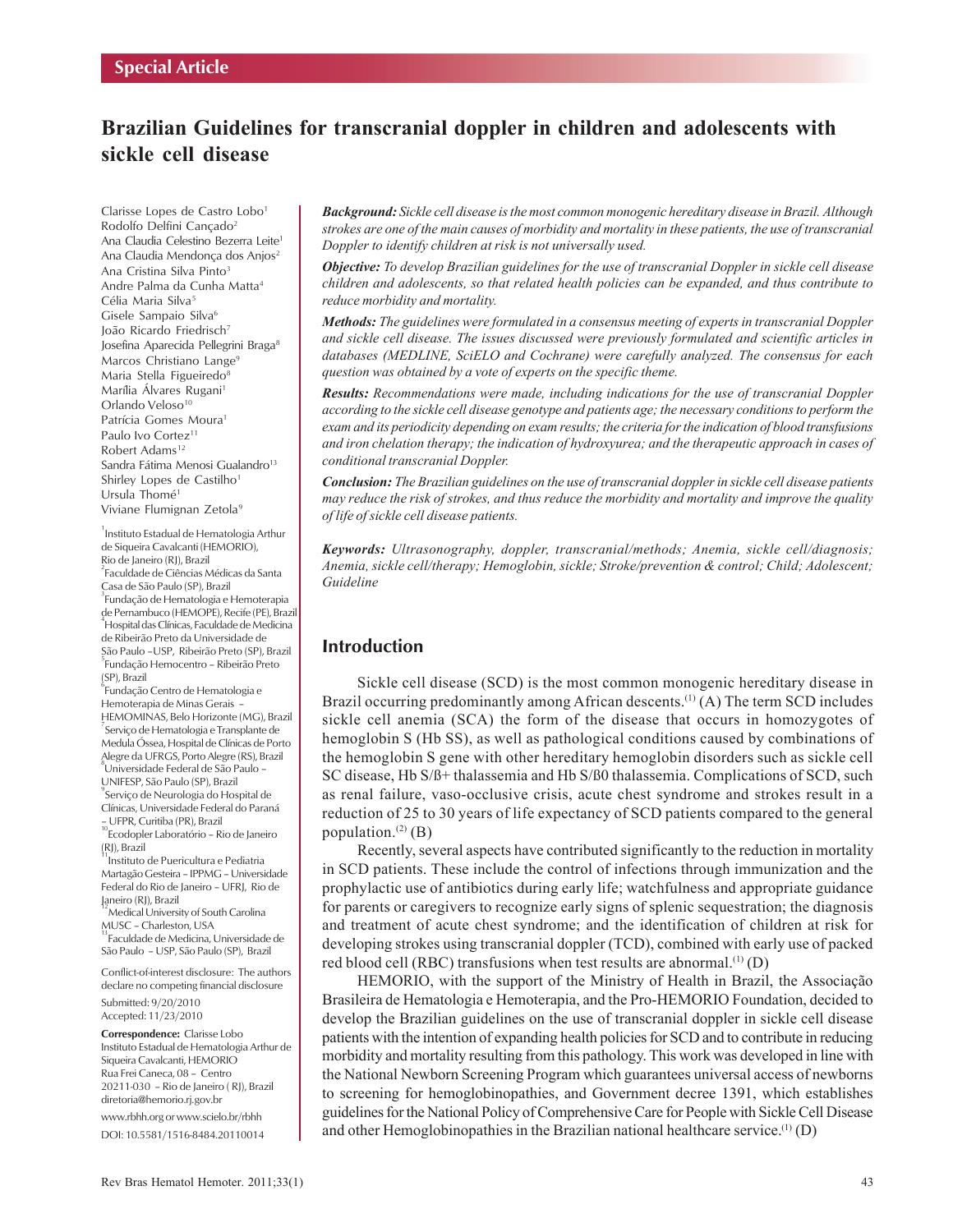# **Brazilian Guidelines for transcranial doppler in children and adolescents with sickle cell disease**

Clarisse Lopes de Castro Lobo<sup>1</sup> Rodolfo Delfini Cancado<sup>2</sup> Ana Claudia Celestino Bezerra Leite<sup>1</sup> Ana Claudia Mendonça dos Anjos<sup>2</sup> Ana Cristina Silva Pinto<sup>3</sup> Andre Palma da Cunha Matta4 Célia Maria Silva<sup>5</sup> Gisele Sampaio Silva<sup>6</sup> João Ricardo Friedrisch<sup>7</sup> Josefina Aparecida Pellegrini Braga8 Marcos Christiano Lange<sup>9</sup> Maria Stella Figueiredo<sup>8</sup> Marília Álvares Rugani<sup>1</sup> Orlando Veloso<sup>10</sup> Patrícia Gomes Moura<sup>1</sup> Paulo Ivo Cortez<sup>11</sup> Robert Adams<sup>12</sup> Sandra Fátima Menosi Gualandro<sup>13</sup> Shirley Lopes de Castilho<sup>1</sup> Ursula Thomé<sup>1</sup> Viviane Flumignan Zetola<sup>9</sup>

1 Instituto Estadual de Hematologia Arthur de Siqueira Cavalcanti(HEMORIO), Rio de Janeiro (RJ), Brazil 2 Faculdade de Ciências Médicas da Santa Casa de São Paulo (SP), Brazil 3 Fundação de Hematologia e Hemoterapia de Pernambuco (HEMOPE), Recife (PE), Brazil 4 Hospital das Clínicas, Faculdade de Medicina de Ribeirão Preto da Universidade de São Paulo –USP, Ribeirão Preto (SP), Brazil <sup>5</sup> Fundação Hemocentro – Ribeirão Preto (SP), Brazil

 $\mathrm{^6}$ Fundação Centro de Hematologia e Hemoterapia de Minas Gerais –

HEMOMINAS, Belo Horizonte (MG), Brazil 7 Serviço de Hematologia e Transplante de Medula Óssea, Hospital de Clínicas de Porto Alegre da UFRGS, Porto Alegre (RS), Brazil 8 Universidade Federal de São Paulo –

UNIFESP, São Paulo (SP), Brazil 9 Serviço de Neurologia do Hospital de Clínicas, Universidade Federal do Paraná

– UFPR, Curitiba (PR), Brazil 10<br>Ecodopler Laboratório – Rio de Janeiro (RJ), Brazil

Instituto de Puericultura e Pediatria Martagão Gesteira – IPPMG – Universidade Federal do Rio de Janeiro – UFRJ, Rio de Janeiro (RJ), Brazil

 $^{12}$ Medical University of South Carolina<br>MUSC – Charleston, USA Faculdade de Medicina, Universidade de São Paulo – USP, São Paulo (SP), Brazil

Conflict-of-interest disclosure: The authors declare no competing financial disclosure

Submitted: 9/20/2010 Accepted: 11/23/2010

**Correspondence:** Clarisse Lobo Instituto Estadual de Hematologia Arthur de Siqueira Cavalcanti, HEMORIO Rua Frei Caneca, 08 – Centro 20211-030 – Rio de Janeiro ( RJ), Brazil diretoria@hemorio.rj.gov.br

www.rbhh.org or www.scielo.br/rbhh DOI: 10.5581/1516-8484.20110014

*Background: Sickle cell disease is the most common monogenic hereditary disease in Brazil. Although strokes are one of the main causes of morbidity and mortality in these patients, the use of transcranial Doppler to identify children at risk is not universally used.*

*Objective: To develop Brazilian guidelines for the use of transcranial Doppler in sickle cell disease children and adolescents, so that related health policies can be expanded, and thus contribute to reduce morbidity and mortality.*

*Methods: The guidelines were formulated in a consensus meeting of experts in transcranial Doppler and sickle cell disease. The issues discussed were previously formulated and scientific articles in databases (MEDLINE, SciELO and Cochrane) were carefully analyzed. The consensus for each question was obtained by a vote of experts on the specific theme.*

*Results: Recommendations were made, including indications for the use of transcranial Doppler according to the sickle cell disease genotype and patients age; the necessary conditions to perform the exam and its periodicity depending on exam results; the criteria for the indication of blood transfusions and iron chelation therapy; the indication of hydroxyurea; and the therapeutic approach in cases of conditional transcranial Doppler.*

*Conclusion: The Brazilian guidelines on the use of transcranial doppler in sickle cell disease patients may reduce the risk of strokes, and thus reduce the morbidity and mortality and improve the quality of life of sickle cell disease patients.*

*Keywords: Ultrasonography, doppler, transcranial/methods; Anemia, sickle cell/diagnosis; Anemia, sickle cell/therapy; Hemoglobin, sickle; Stroke/prevention & control; Child; Adolescent; Guideline*

# **Introduction**

Sickle cell disease (SCD) is the most common monogenic hereditary disease in Brazil occurring predominantly among African descents.<sup>(1)</sup> (A) The term SCD includes sickle cell anemia (SCA) the form of the disease that occurs in homozygotes of hemoglobin S (Hb SS), as well as pathological conditions caused by combinations of the hemoglobin S gene with other hereditary hemoglobin disorders such as sickle cell SC disease, Hb S/ß+ thalassemia and Hb S/ß0 thalassemia. Complications of SCD, such as renal failure, vaso-occlusive crisis, acute chest syndrome and strokes result in a reduction of 25 to 30 years of life expectancy of SCD patients compared to the general population. $(2)$  (B)

Recently, several aspects have contributed significantly to the reduction in mortality in SCD patients. These include the control of infections through immunization and the prophylactic use of antibiotics during early life; watchfulness and appropriate guidance for parents or caregivers to recognize early signs of splenic sequestration; the diagnosis and treatment of acute chest syndrome; and the identification of children at risk for developing strokes using transcranial doppler (TCD), combined with early use of packed red blood cell (RBC) transfusions when test results are abnormal.<sup>(1)</sup> (D)

HEMORIO, with the support of the Ministry of Health in Brazil, the Associação Brasileira de Hematologia e Hemoterapia, and the Pro-HEMORIO Foundation, decided to develop the Brazilian guidelines on the use of transcranial doppler in sickle cell disease patients with the intention of expanding health policies for SCD and to contribute in reducing morbidity and mortality resulting from this pathology. This work was developed in line with the National Newborn Screening Program which guarantees universal access of newborns to screening for hemoglobinopathies, and Government decree 1391, which establishes guidelines for the National Policy of Comprehensive Care for People with Sickle Cell Disease and other Hemoglobinopathies in the Brazilian national healthcare service.(1) (D)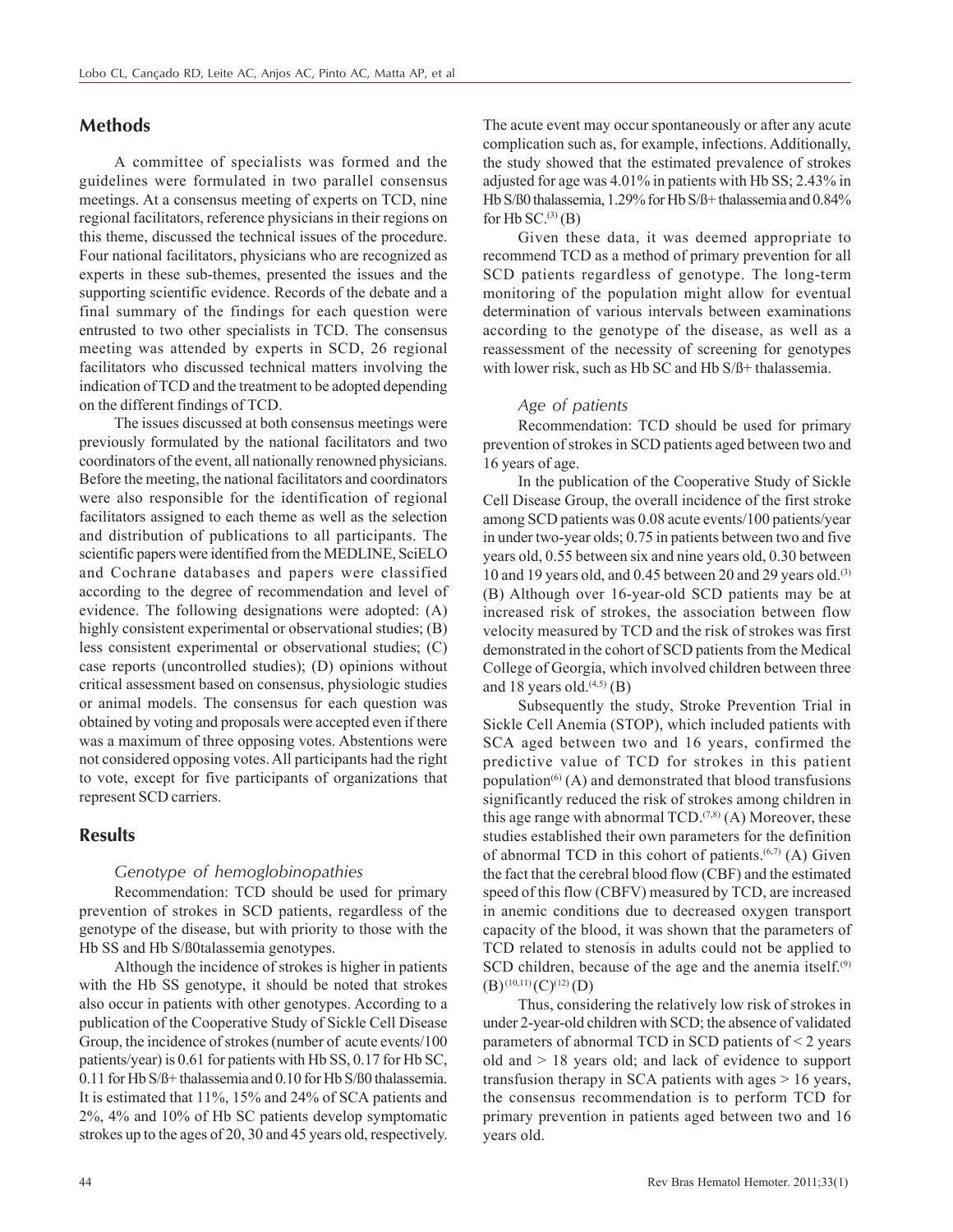# **Methods**

A committee of specialists was formed and the guidelines were formulated in two parallel consensus meetings. At a consensus meeting of experts on TCD, nine regional facilitators, reference physicians in their regions on this theme, discussed the technical issues of the procedure. Four national facilitators, physicians who are recognized as experts in these sub-themes, presented the issues and the supporting scientific evidence. Records of the debate and a final summary of the findings for each question were entrusted to two other specialists in TCD. The consensus meeting was attended by experts in SCD, 26 regional facilitators who discussed technical matters involving the indication of TCD and the treatment to be adopted depending on the different findings of TCD.

The issues discussed at both consensus meetings were previously formulated by the national facilitators and two coordinators of the event, all nationally renowned physicians. Before the meeting, the national facilitators and coordinators were also responsible for the identification of regional facilitators assigned to each theme as well as the selection and distribution of publications to all participants. The scientific papers were identified from the MEDLINE, SciELO and Cochrane databases and papers were classified according to the degree of recommendation and level of evidence. The following designations were adopted: (A) highly consistent experimental or observational studies; (B) less consistent experimental or observational studies; (C) case reports (uncontrolled studies); (D) opinions without critical assessment based on consensus, physiologic studies or animal models. The consensus for each question was obtained by voting and proposals were accepted even if there was a maximum of three opposing votes. Abstentions were not considered opposing votes. All participants had the right to vote, except for five participants of organizations that represent SCD carriers.

### **Results**

### *Genotype of hemoglobinopathies*

Recommendation: TCD should be used for primary prevention of strokes in SCD patients, regardless of the genotype of the disease, but with priority to those with the Hb SS and Hb S/ß0talassemia genotypes.

Although the incidence of strokes is higher in patients with the Hb SS genotype, it should be noted that strokes also occur in patients with other genotypes. According to a publication of the Cooperative Study of Sickle Cell Disease Group, the incidence of strokes (number of acute events/100 patients/year) is 0.61 for patients with Hb SS, 0.17 for Hb SC, 0.11 for Hb S/ß+ thalassemia and 0.10 for Hb S/ß0 thalassemia. It is estimated that 11%, 15% and 24% of SCA patients and 2%, 4% and 10% of Hb SC patients develop symptomatic strokes up to the ages of 20, 30 and 45 years old, respectively. The acute event may occur spontaneously or after any acute complication such as, for example, infections. Additionally, the study showed that the estimated prevalence of strokes adjusted for age was 4.01% in patients with Hb SS; 2.43% in Hb S/ß0 thalassemia, 1.29% for Hb S/ß+ thalassemia and 0.84% for Hb  $SC^{(3)}(B)$ 

Given these data, it was deemed appropriate to recommend TCD as a method of primary prevention for all SCD patients regardless of genotype. The long-term monitoring of the population might allow for eventual determination of various intervals between examinations according to the genotype of the disease, as well as a reassessment of the necessity of screening for genotypes with lower risk, such as Hb SC and Hb S/ß+ thalassemia.

#### *Age of patients*

Recommendation: TCD should be used for primary prevention of strokes in SCD patients aged between two and 16 years of age.

In the publication of the Cooperative Study of Sickle Cell Disease Group, the overall incidence of the first stroke among SCD patients was 0.08 acute events/100 patients/year in under two-year olds; 0.75 in patients between two and five years old, 0.55 between six and nine years old, 0.30 between 10 and 19 years old, and 0.45 between 20 and 29 years old.(3) (B) Although over 16-year-old SCD patients may be at increased risk of strokes, the association between flow velocity measured by TCD and the risk of strokes was first demonstrated in the cohort of SCD patients from the Medical College of Georgia, which involved children between three and 18 years old. $(4,5)$  (B)

Subsequently the study, Stroke Prevention Trial in Sickle Cell Anemia (STOP), which included patients with SCA aged between two and 16 years, confirmed the predictive value of TCD for strokes in this patient population<sup> $(6)$ </sup> (A) and demonstrated that blood transfusions significantly reduced the risk of strokes among children in this age range with abnormal  $TCD^{(7,8)}$  (A) Moreover, these studies established their own parameters for the definition of abnormal TCD in this cohort of patients.<sup> $(6,7)$ </sup> (A) Given the fact that the cerebral blood flow (CBF) and the estimated speed of this flow (CBFV) measured by TCD, are increased in anemic conditions due to decreased oxygen transport capacity of the blood, it was shown that the parameters of TCD related to stenosis in adults could not be applied to SCD children, because of the age and the anemia itself.<sup>(9)</sup>  $(B)$ <sup>(10,11)</sup>(C)<sup>(12)</sup>(D)

Thus, considering the relatively low risk of strokes in under 2-year-old children with SCD; the absence of validated parameters of abnormal TCD in SCD patients of < 2 years old and > 18 years old; and lack of evidence to support transfusion therapy in SCA patients with ages > 16 years, the consensus recommendation is to perform TCD for primary prevention in patients aged between two and 16 years old.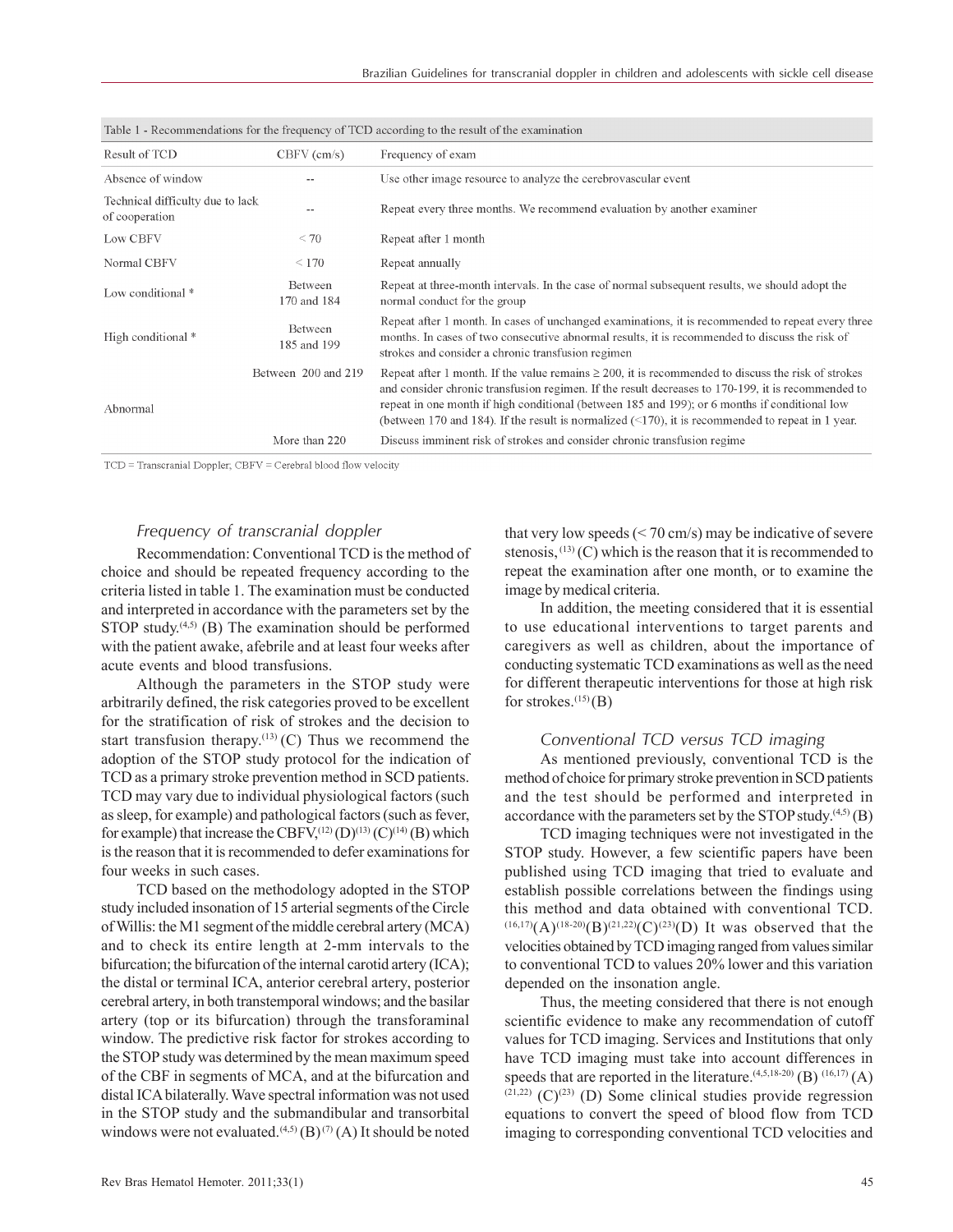| Result of TCD                                      | $CBFV$ (cm/s)          | Frequency of exam                                                                                                                                                                                                                                                                                                                                                                                                           |  |
|----------------------------------------------------|------------------------|-----------------------------------------------------------------------------------------------------------------------------------------------------------------------------------------------------------------------------------------------------------------------------------------------------------------------------------------------------------------------------------------------------------------------------|--|
| Absence of window                                  |                        | Use other image resource to analyze the cerebrovascular event                                                                                                                                                                                                                                                                                                                                                               |  |
| Technical difficulty due to lack<br>of cooperation | $- -$                  | Repeat every three months. We recommend evaluation by another examiner                                                                                                                                                                                                                                                                                                                                                      |  |
| Low CBFV                                           | < 70                   | Repeat after 1 month                                                                                                                                                                                                                                                                                                                                                                                                        |  |
| Normal CBFV                                        | $\leq 170$             | Repeat annually                                                                                                                                                                                                                                                                                                                                                                                                             |  |
| Low conditional *                                  | Between<br>170 and 184 | Repeat at three-month intervals. In the case of normal subsequent results, we should adopt the<br>normal conduct for the group                                                                                                                                                                                                                                                                                              |  |
| High conditional *                                 | Between<br>185 and 199 | Repeat after 1 month. In cases of unchanged examinations, it is recommended to repeat every three<br>months. In cases of two consecutive abnormal results, it is recommended to discuss the risk of<br>strokes and consider a chronic transfusion regimen                                                                                                                                                                   |  |
| Abnormal                                           | Between 200 and 219    | Repeat after 1 month. If the value remains $\geq 200$ , it is recommended to discuss the risk of strokes<br>and consider chronic transfusion regimen. If the result decreases to 170-199, it is recommended to<br>repeat in one month if high conditional (between 185 and 199); or 6 months if conditional low<br>(between 170 and 184). If the result is normalized $(\leq 170)$ , it is recommended to repeat in 1 year. |  |
|                                                    | More than 220          | Discuss imminent risk of strokes and consider chronic transfusion regime                                                                                                                                                                                                                                                                                                                                                    |  |

| Table 1 - Recommendations for the frequency of TCD according to the result of the examination |  |  |
|-----------------------------------------------------------------------------------------------|--|--|
|-----------------------------------------------------------------------------------------------|--|--|

TCD = Transcranial Doppler; CBFV = Cerebral blood flow velocity

### *Frequency of transcranial doppler*

Recommendation: Conventional TCD is the method of choice and should be repeated frequency according to the criteria listed in table 1. The examination must be conducted and interpreted in accordance with the parameters set by the STOP study.<sup> $(4,5)$ </sup> (B) The examination should be performed with the patient awake, afebrile and at least four weeks after acute events and blood transfusions.

Although the parameters in the STOP study were arbitrarily defined, the risk categories proved to be excellent for the stratification of risk of strokes and the decision to start transfusion therapy.<sup>(13)</sup> (C) Thus we recommend the adoption of the STOP study protocol for the indication of TCD as a primary stroke prevention method in SCD patients. TCD may vary due to individual physiological factors (such as sleep, for example) and pathological factors (such as fever, for example) that increase the CBFV,<sup>(12)</sup> (D)<sup>(13)</sup> (C)<sup>(14)</sup> (B) which is the reason that it is recommended to defer examinations for four weeks in such cases.

TCD based on the methodology adopted in the STOP study included insonation of 15 arterial segments of the Circle of Willis: the M1 segment of the middle cerebral artery (MCA) and to check its entire length at 2-mm intervals to the bifurcation; the bifurcation of the internal carotid artery (ICA); the distal or terminal ICA, anterior cerebral artery, posterior cerebral artery, in both transtemporal windows; and the basilar artery (top or its bifurcation) through the transforaminal window. The predictive risk factor for strokes according to the STOP study was determined by the mean maximum speed of the CBF in segments of MCA, and at the bifurcation and distal ICA bilaterally. Wave spectral information was not used in the STOP study and the submandibular and transorbital windows were not evaluated.<sup>(4,5)</sup> (B)<sup>(7)</sup> (A) It should be noted that very low speeds  $(< 70 \text{ cm/s})$  may be indicative of severe stenosis,  $(13)$  (C) which is the reason that it is recommended to repeat the examination after one month, or to examine the image by medical criteria.

In addition, the meeting considered that it is essential to use educational interventions to target parents and caregivers as well as children, about the importance of conducting systematic TCD examinations as well as the need for different therapeutic interventions for those at high risk for strokes. $^{(15)}$ (B)

#### *Conventional TCD versus TCD imaging*

As mentioned previously, conventional TCD is the method of choice for primary stroke prevention in SCD patients and the test should be performed and interpreted in accordance with the parameters set by the STOP study. $(4,5)$  (B)

TCD imaging techniques were not investigated in the STOP study. However, a few scientific papers have been published using TCD imaging that tried to evaluate and establish possible correlations between the findings using this method and data obtained with conventional TCD.  $(16,17)$ (A) $(18-20)$ (B) $(21,22)$ (C) $(23)$ (D) It was observed that the velocities obtained by TCD imaging ranged from values similar to conventional TCD to values 20% lower and this variation depended on the insonation angle.

Thus, the meeting considered that there is not enough scientific evidence to make any recommendation of cutoff values for TCD imaging. Services and Institutions that only have TCD imaging must take into account differences in speeds that are reported in the literature.<sup> $(4,5,18-20)$ </sup> (B)  $(16,17)$  (A)  $(21,22)$  (C)<sup>(23)</sup> (D) Some clinical studies provide regression equations to convert the speed of blood flow from TCD imaging to corresponding conventional TCD velocities and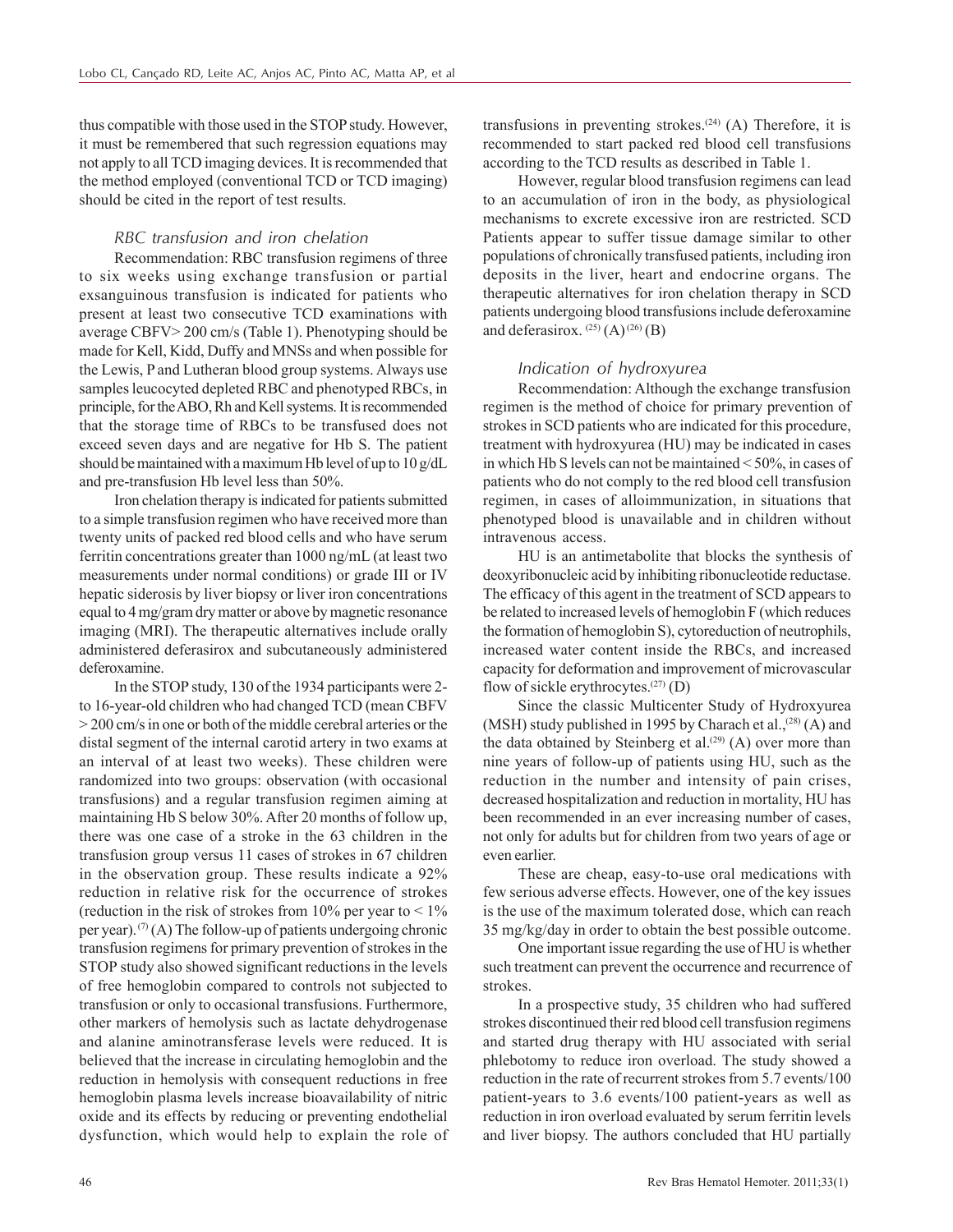thus compatible with those used in the STOP study. However, it must be remembered that such regression equations may not apply to all TCD imaging devices. It is recommended that the method employed (conventional TCD or TCD imaging) should be cited in the report of test results.

#### *RBC transfusion and iron chelation*

Recommendation: RBC transfusion regimens of three to six weeks using exchange transfusion or partial exsanguinous transfusion is indicated for patients who present at least two consecutive TCD examinations with average CBFV> 200 cm/s (Table 1). Phenotyping should be made for Kell, Kidd, Duffy and MNSs and when possible for the Lewis, P and Lutheran blood group systems. Always use samples leucocyted depleted RBC and phenotyped RBCs, in principle, for the ABO, Rh and Kell systems. It is recommended that the storage time of RBCs to be transfused does not exceed seven days and are negative for Hb S. The patient should be maintained with a maximum Hb level of up to 10 g/dL and pre-transfusion Hb level less than 50%.

Iron chelation therapy is indicated for patients submitted to a simple transfusion regimen who have received more than twenty units of packed red blood cells and who have serum ferritin concentrations greater than 1000 ng/mL (at least two measurements under normal conditions) or grade III or IV hepatic siderosis by liver biopsy or liver iron concentrations equal to 4 mg/gram dry matter or above by magnetic resonance imaging (MRI). The therapeutic alternatives include orally administered deferasirox and subcutaneously administered deferoxamine.

In the STOP study, 130 of the 1934 participants were 2 to 16-year-old children who had changed TCD (mean CBFV > 200 cm/s in one or both of the middle cerebral arteries or the distal segment of the internal carotid artery in two exams at an interval of at least two weeks). These children were randomized into two groups: observation (with occasional transfusions) and a regular transfusion regimen aiming at maintaining Hb S below 30%. After 20 months of follow up, there was one case of a stroke in the 63 children in the transfusion group versus 11 cases of strokes in 67 children in the observation group. These results indicate a 92% reduction in relative risk for the occurrence of strokes (reduction in the risk of strokes from  $10\%$  per year to  $\leq 1\%$ per year).  $(7)$  (A) The follow-up of patients undergoing chronic transfusion regimens for primary prevention of strokes in the STOP study also showed significant reductions in the levels of free hemoglobin compared to controls not subjected to transfusion or only to occasional transfusions. Furthermore, other markers of hemolysis such as lactate dehydrogenase and alanine aminotransferase levels were reduced. It is believed that the increase in circulating hemoglobin and the reduction in hemolysis with consequent reductions in free hemoglobin plasma levels increase bioavailability of nitric oxide and its effects by reducing or preventing endothelial dysfunction, which would help to explain the role of transfusions in preventing strokes.<sup>(24)</sup> (A) Therefore, it is recommended to start packed red blood cell transfusions according to the TCD results as described in Table 1.

However, regular blood transfusion regimens can lead to an accumulation of iron in the body, as physiological mechanisms to excrete excessive iron are restricted. SCD Patients appear to suffer tissue damage similar to other populations of chronically transfused patients, including iron deposits in the liver, heart and endocrine organs. The therapeutic alternatives for iron chelation therapy in SCD patients undergoing blood transfusions include deferoxamine and deferasirox.  $^{(25)}$  (A)  $^{(26)}$  (B)

#### *Indication of hydroxyurea*

Recommendation: Although the exchange transfusion regimen is the method of choice for primary prevention of strokes in SCD patients who are indicated for this procedure, treatment with hydroxyurea (HU) may be indicated in cases in which Hb S levels can not be maintained < 50%, in cases of patients who do not comply to the red blood cell transfusion regimen, in cases of alloimmunization, in situations that phenotyped blood is unavailable and in children without intravenous access.

HU is an antimetabolite that blocks the synthesis of deoxyribonucleic acid by inhibiting ribonucleotide reductase. The efficacy of this agent in the treatment of SCD appears to be related to increased levels of hemoglobin F (which reduces the formation of hemoglobin S), cytoreduction of neutrophils, increased water content inside the RBCs, and increased capacity for deformation and improvement of microvascular flow of sickle erythrocytes. $(27)$  (D)

Since the classic Multicenter Study of Hydroxyurea (MSH) study published in 1995 by Charach et al.,<sup> $(28)$ </sup> (A) and the data obtained by Steinberg et al.<sup>(29)</sup> (A) over more than nine years of follow-up of patients using HU, such as the reduction in the number and intensity of pain crises, decreased hospitalization and reduction in mortality, HU has been recommended in an ever increasing number of cases, not only for adults but for children from two years of age or even earlier.

These are cheap, easy-to-use oral medications with few serious adverse effects. However, one of the key issues is the use of the maximum tolerated dose, which can reach 35 mg/kg/day in order to obtain the best possible outcome.

One important issue regarding the use of HU is whether such treatment can prevent the occurrence and recurrence of strokes.

In a prospective study, 35 children who had suffered strokes discontinued their red blood cell transfusion regimens and started drug therapy with HU associated with serial phlebotomy to reduce iron overload. The study showed a reduction in the rate of recurrent strokes from 5.7 events/100 patient-years to 3.6 events/100 patient-years as well as reduction in iron overload evaluated by serum ferritin levels and liver biopsy. The authors concluded that HU partially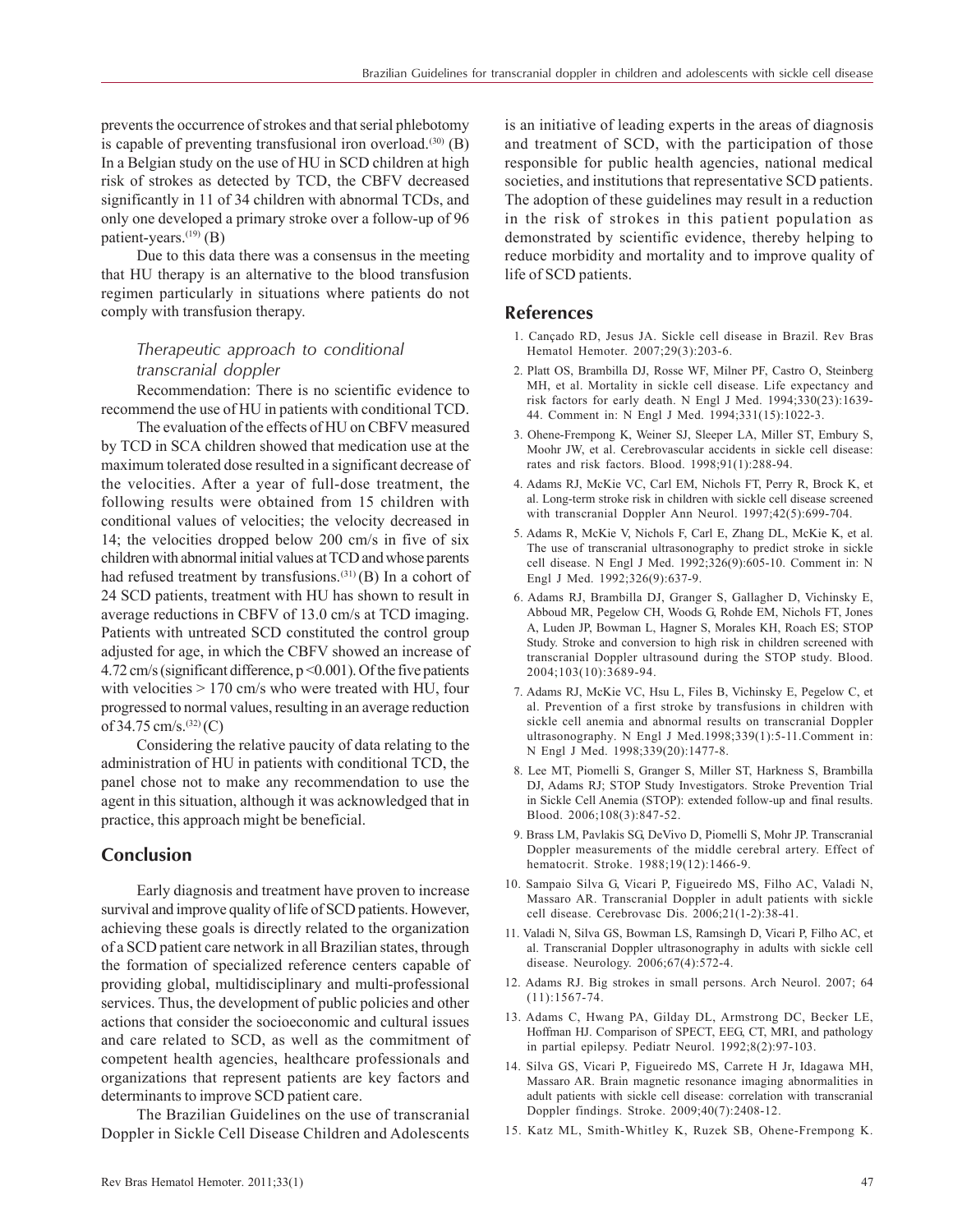prevents the occurrence of strokes and that serial phlebotomy is capable of preventing transfusional iron overload. $(30)$  (B) In a Belgian study on the use of HU in SCD children at high risk of strokes as detected by TCD, the CBFV decreased significantly in 11 of 34 children with abnormal TCDs, and only one developed a primary stroke over a follow-up of 96 patient-years. $^{(19)}$  (B)

Due to this data there was a consensus in the meeting that HU therapy is an alternative to the blood transfusion regimen particularly in situations where patients do not comply with transfusion therapy.

# *Therapeutic approach to conditional transcranial doppler*

Recommendation: There is no scientific evidence to recommend the use of HU in patients with conditional TCD.

The evaluation of the effects of HU on CBFV measured by TCD in SCA children showed that medication use at the maximum tolerated dose resulted in a significant decrease of the velocities. After a year of full-dose treatment, the following results were obtained from 15 children with conditional values of velocities; the velocity decreased in 14; the velocities dropped below 200 cm/s in five of six children with abnormal initial values at TCD and whose parents had refused treatment by transfusions.<sup>(31)</sup>(B) In a cohort of 24 SCD patients, treatment with HU has shown to result in average reductions in CBFV of 13.0 cm/s at TCD imaging. Patients with untreated SCD constituted the control group adjusted for age, in which the CBFV showed an increase of 4.72 cm/s (significant difference, p <0.001). Of the five patients with velocities  $> 170$  cm/s who were treated with HU, four progressed to normal values, resulting in an average reduction of  $34.75$  cm/s.<sup>(32)</sup>(C)

Considering the relative paucity of data relating to the administration of HU in patients with conditional TCD, the panel chose not to make any recommendation to use the agent in this situation, although it was acknowledged that in practice, this approach might be beneficial.

# **Conclusion**

Early diagnosis and treatment have proven to increase survival and improve quality of life of SCD patients. However, achieving these goals is directly related to the organization of a SCD patient care network in all Brazilian states, through the formation of specialized reference centers capable of providing global, multidisciplinary and multi-professional services. Thus, the development of public policies and other actions that consider the socioeconomic and cultural issues and care related to SCD, as well as the commitment of competent health agencies, healthcare professionals and organizations that represent patients are key factors and determinants to improve SCD patient care.

The Brazilian Guidelines on the use of transcranial Doppler in Sickle Cell Disease Children and Adolescents is an initiative of leading experts in the areas of diagnosis and treatment of SCD, with the participation of those responsible for public health agencies, national medical societies, and institutions that representative SCD patients. The adoption of these guidelines may result in a reduction in the risk of strokes in this patient population as demonstrated by scientific evidence, thereby helping to reduce morbidity and mortality and to improve quality of life of SCD patients.

### **References**

- 1. Cançado RD, Jesus JA. Sickle cell disease in Brazil. Rev Bras Hematol Hemoter. 2007;29(3):203-6.
- 2. Platt OS, Brambilla DJ, Rosse WF, Milner PF, Castro O, Steinberg MH, et al. Mortality in sickle cell disease. Life expectancy and risk factors for early death. N Engl J Med. 1994;330(23):1639- 44. Comment in: N Engl J Med. 1994;331(15):1022-3.
- 3. Ohene-Frempong K, Weiner SJ, Sleeper LA, Miller ST, Embury S, Moohr JW, et al. Cerebrovascular accidents in sickle cell disease: rates and risk factors. Blood. 1998;91(1):288-94.
- 4. Adams RJ, McKie VC, Carl EM, Nichols FT, Perry R, Brock K, et al. Long-term stroke risk in children with sickle cell disease screened with transcranial Doppler Ann Neurol. 1997;42(5):699-704.
- 5. Adams R, McKie V, Nichols F, Carl E, Zhang DL, McKie K, et al. The use of transcranial ultrasonography to predict stroke in sickle cell disease. N Engl J Med. 1992;326(9):605-10. Comment in: N Engl J Med. 1992;326(9):637-9.
- 6. Adams RJ, Brambilla DJ, Granger S, Gallagher D, Vichinsky E, Abboud MR, Pegelow CH, Woods G, Rohde EM, Nichols FT, Jones A, Luden JP, Bowman L, Hagner S, Morales KH, Roach ES; STOP Study. Stroke and conversion to high risk in children screened with transcranial Doppler ultrasound during the STOP study. Blood. 2004;103(10):3689-94.
- 7. Adams RJ, McKie VC, Hsu L, Files B, Vichinsky E, Pegelow C, et al. Prevention of a first stroke by transfusions in children with sickle cell anemia and abnormal results on transcranial Doppler ultrasonography. N Engl J Med.1998;339(1):5-11.Comment in: N Engl J Med. 1998;339(20):1477-8.
- 8. Lee MT, Piomelli S, Granger S, Miller ST, Harkness S, Brambilla DJ, Adams RJ; STOP Study Investigators. Stroke Prevention Trial in Sickle Cell Anemia (STOP): extended follow-up and final results. Blood. 2006;108(3):847-52.
- 9. Brass LM, Pavlakis SG, DeVivo D, Piomelli S, Mohr JP. Transcranial Doppler measurements of the middle cerebral artery. Effect of hematocrit. Stroke. 1988;19(12):1466-9.
- 10. Sampaio Silva G, Vicari P, Figueiredo MS, Filho AC, Valadi N, Massaro AR. Transcranial Doppler in adult patients with sickle cell disease. Cerebrovasc Dis. 2006;21(1-2):38-41.
- 11. Valadi N, Silva GS, Bowman LS, Ramsingh D, Vicari P, Filho AC, et al. Transcranial Doppler ultrasonography in adults with sickle cell disease. Neurology. 2006;67(4):572-4.
- 12. Adams RJ. Big strokes in small persons. Arch Neurol. 2007; 64 (11):1567-74.
- 13. Adams C, Hwang PA, Gilday DL, Armstrong DC, Becker LE, Hoffman HJ. Comparison of SPECT, EEG, CT, MRI, and pathology in partial epilepsy. Pediatr Neurol. 1992;8(2):97-103.
- 14. Silva GS, Vicari P, Figueiredo MS, Carrete H Jr, Idagawa MH, Massaro AR. Brain magnetic resonance imaging abnormalities in adult patients with sickle cell disease: correlation with transcranial Doppler findings. Stroke. 2009;40(7):2408-12.
- 15. Katz ML, Smith-Whitley K, Ruzek SB, Ohene-Frempong K.